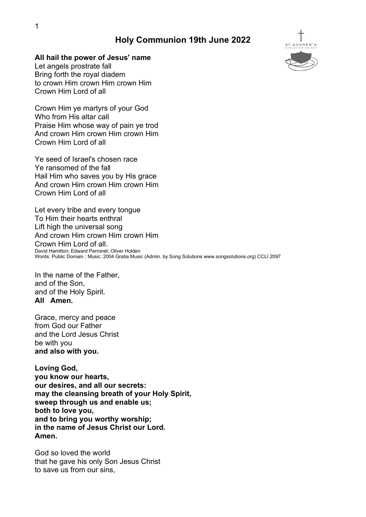# Holy Communion 19th June 2022

#### All hail the power of Jesus' name

Let angels prostrate fall Bring forth the royal diadem to crown Him crown Him crown Him Crown Him Lord of all

Crown Him ye martyrs of your God Who from His altar call Praise Him whose way of pain ye trod And crown Him crown Him crown Him Crown Him Lord of all

Ye seed of Israel's chosen race Ye ransomed of the fall Hail Him who saves you by His grace And crown Him crown Him crown Him Crown Him Lord of all

Let every tribe and every tongue To Him their hearts enthral Lift high the universal song And crown Him crown Him crown Him Crown Him Lord of all. David Hamilton; Edward Perronet; Oliver Holden Words: Public Domain ; Music: 2004 Gratia Music (Admin. by Song Solutions www.songsolutions.org) CCLI 2097

In the name of the Father, and of the Son, and of the Holy Spirit. All Amen.

Grace, mercy and peace from God our Father and the Lord Jesus Christ be with you and also with you.

Loving God, you know our hearts, our desires, and all our secrets: may the cleansing breath of your Holy Spirit, sweep through us and enable us; both to love you, and to bring you worthy worship; in the name of Jesus Christ our Lord. Amen.

God so loved the world that he gave his only Son Jesus Christ to save us from our sins,

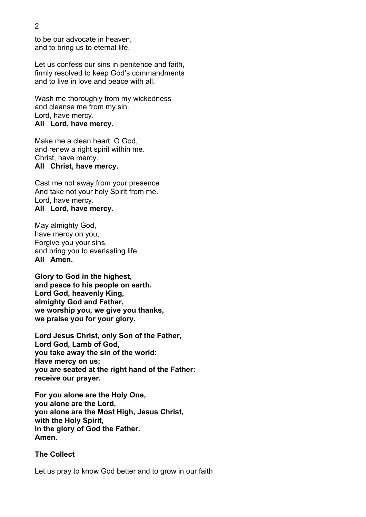to be our advocate in heaven, and to bring us to eternal life.

 Let us confess our sins in penitence and faith, firmly resolved to keep God's commandments and to live in love and peace with all.

Wash me thoroughly from my wickedness and cleanse me from my sin. Lord, have mercy. All Lord, have mercy.

Make me a clean heart, O God, and renew a right spirit within me. Christ, have mercy. All Christ, have mercy.

Cast me not away from your presence And take not your holy Spirit from me. Lord, have mercy.

#### All Lord, have mercy.

May almighty God, have mercy on you, Forgive you your sins, and bring you to everlasting life. All Amen.

Glory to God in the highest, and peace to his people on earth. Lord God, heavenly King, almighty God and Father, we worship you, we give you thanks, we praise you for your glory.

Lord Jesus Christ, only Son of the Father, Lord God, Lamb of God, you take away the sin of the world: Have mercy on us; you are seated at the right hand of the Father: receive our prayer.

For you alone are the Holy One, you alone are the Lord, you alone are the Most High, Jesus Christ, with the Holy Spirit, in the glory of God the Father. Amen.

#### The Collect

Let us pray to know God better and to grow in our faith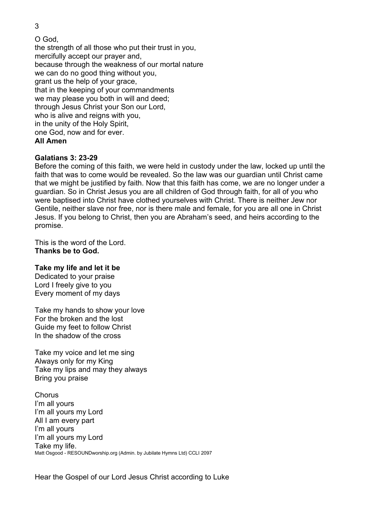3

O God, the strength of all those who put their trust in you, mercifully accept our prayer and, because through the weakness of our mortal nature we can do no good thing without you, grant us the help of your grace, that in the keeping of your commandments we may please you both in will and deed; through Jesus Christ your Son our Lord, who is alive and reigns with you, in the unity of the Holy Spirit, one God, now and for ever. All Amen

# Galatians 3: 23-29

Before the coming of this faith, we were held in custody under the law, locked up until the faith that was to come would be revealed. So the law was our guardian until Christ came that we might be justified by faith. Now that this faith has come, we are no longer under a guardian. So in Christ Jesus you are all children of God through faith, for all of you who were baptised into Christ have clothed yourselves with Christ. There is neither Jew nor Gentile, neither slave nor free, nor is there male and female, for you are all one in Christ Jesus. If you belong to Christ, then you are Abraham's seed, and heirs according to the promise.

This is the word of the Lord. Thanks be to God.

## Take my life and let it be

Dedicated to your praise Lord I freely give to you Every moment of my days

Take my hands to show your love For the broken and the lost Guide my feet to follow Christ In the shadow of the cross

Take my voice and let me sing Always only for my King Take my lips and may they always Bring you praise

Chorus I'm all yours I'm all yours my Lord All I am every part I'm all yours I'm all yours my Lord Take my life. Matt Osgood - RESOUNDworship.org (Admin. by Jubilate Hymns Ltd) CCLI 2097

Hear the Gospel of our Lord Jesus Christ according to Luke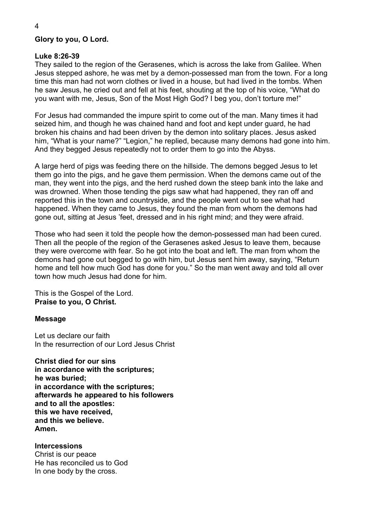## Glory to you, O Lord.

## Luke 8:26-39

They sailed to the region of the Gerasenes, which is across the lake from Galilee. When Jesus stepped ashore, he was met by a demon-possessed man from the town. For a long time this man had not worn clothes or lived in a house, but had lived in the tombs. When he saw Jesus, he cried out and fell at his feet, shouting at the top of his voice, "What do you want with me, Jesus, Son of the Most High God? I beg you, don't torture me!"

For Jesus had commanded the impure spirit to come out of the man. Many times it had seized him, and though he was chained hand and foot and kept under guard, he had broken his chains and had been driven by the demon into solitary places. Jesus asked him, "What is your name?" "Legion," he replied, because many demons had gone into him. And they begged Jesus repeatedly not to order them to go into the Abyss.

A large herd of pigs was feeding there on the hillside. The demons begged Jesus to let them go into the pigs, and he gave them permission. When the demons came out of the man, they went into the pigs, and the herd rushed down the steep bank into the lake and was drowned. When those tending the pigs saw what had happened, they ran off and reported this in the town and countryside, and the people went out to see what had happened. When they came to Jesus, they found the man from whom the demons had gone out, sitting at Jesus 'feet, dressed and in his right mind; and they were afraid.

Those who had seen it told the people how the demon-possessed man had been cured. Then all the people of the region of the Gerasenes asked Jesus to leave them, because they were overcome with fear. So he got into the boat and left. The man from whom the demons had gone out begged to go with him, but Jesus sent him away, saying, "Return home and tell how much God has done for you." So the man went away and told all over town how much Jesus had done for him.

This is the Gospel of the Lord. Praise to you, O Christ.

## Message

Let us declare our faith In the resurrection of our Lord Jesus Christ

Christ died for our sins in accordance with the scriptures; he was buried; in accordance with the scriptures; afterwards he appeared to his followers and to all the apostles: this we have received, and this we believe. Amen.

#### Intercessions

Christ is our peace He has reconciled us to God In one body by the cross.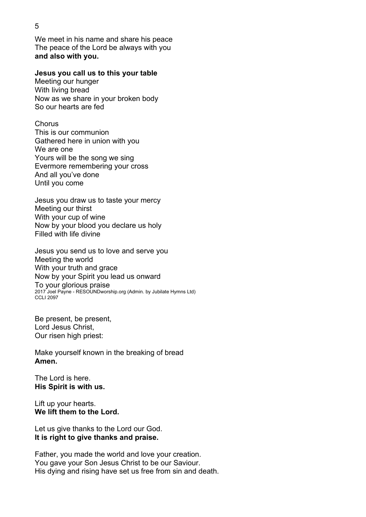We meet in his name and share his peace The peace of the Lord be always with you and also with you.

#### Jesus you call us to this your table

Meeting our hunger With living bread Now as we share in your broken body So our hearts are fed

**Chorus** This is our communion Gathered here in union with you We are one Yours will be the song we sing Evermore remembering your cross And all you've done Until you come

Jesus you draw us to taste your mercy Meeting our thirst With your cup of wine Now by your blood you declare us holy Filled with life divine

Jesus you send us to love and serve you Meeting the world With your truth and grace Now by your Spirit you lead us onward To your glorious praise 2017 Joel Payne - RESOUNDworship.org (Admin. by Jubilate Hymns Ltd) CCLI 2097

Be present, be present, Lord Jesus Christ, Our risen high priest:

Make yourself known in the breaking of bread Amen.

The Lord is here. His Spirit is with us.

Lift up your hearts. We lift them to the Lord.

Let us give thanks to the Lord our God. It is right to give thanks and praise.

Father, you made the world and love your creation. You gave your Son Jesus Christ to be our Saviour. His dying and rising have set us free from sin and death.

## 5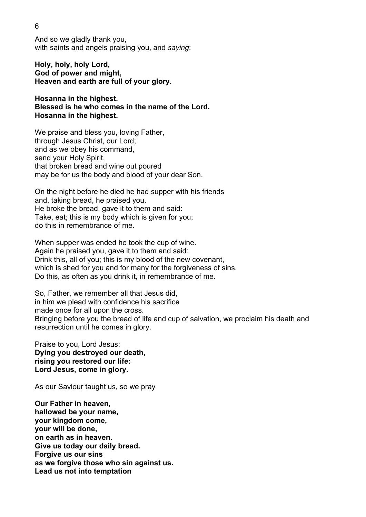And so we gladly thank you, with saints and angels praising you, and saying:

Holy, holy, holy Lord, God of power and might, Heaven and earth are full of your glory.

Hosanna in the highest. Blessed is he who comes in the name of the Lord. Hosanna in the highest.

We praise and bless you, loving Father, through Jesus Christ, our Lord; and as we obey his command, send your Holy Spirit, that broken bread and wine out poured may be for us the body and blood of your dear Son.

 On the night before he died he had supper with his friends and, taking bread, he praised you. He broke the bread, gave it to them and said: Take, eat; this is my body which is given for you; do this in remembrance of me.

 When supper was ended he took the cup of wine. Again he praised you, gave it to them and said: Drink this, all of you; this is my blood of the new covenant, which is shed for you and for many for the forgiveness of sins. Do this, as often as you drink it, in remembrance of me.

So, Father, we remember all that Jesus did, in him we plead with confidence his sacrifice made once for all upon the cross. Bringing before you the bread of life and cup of salvation, we proclaim his death and resurrection until he comes in glory.

Praise to you, Lord Jesus: Dying you destroyed our death, rising you restored our life: Lord Jesus, come in glory.<br>As our Saviour taught us, so we pray

Our Father in heaven, hallowed be your name, your kingdom come, your will be done, on earth as in heaven. Give us today our daily bread. Forgive us our sins as we forgive those who sin against us. Lead us not into temptation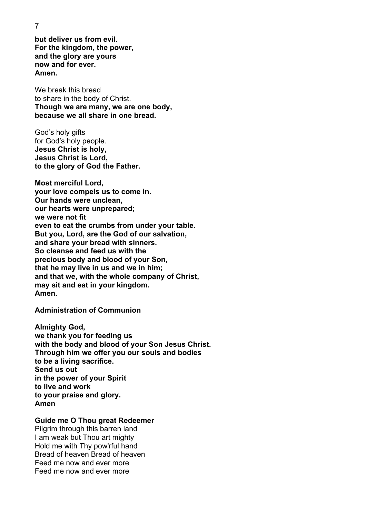7

but deliver us from evil. For the kingdom, the power, and the glory are yours now and for ever. Amen.

We break this bread to share in the body of Christ. Though we are many, we are one body, because we all share in one bread.

God's holy gifts for God's holy people. Jesus Christ is holy, Jesus Christ is Lord, to the glory of God the Father.

Most merciful Lord, your love compels us to come in. Our hands were unclean, our hearts were unprepared; we were not fit even to eat the crumbs from under your table. But you, Lord, are the God of our salvation, and share your bread with sinners. So cleanse and feed us with the precious body and blood of your Son, that he may live in us and we in him; and that we, with the whole company of Christ, may sit and eat in your kingdom. Amen.

Administration of Communion

Almighty God, we thank you for feeding us with the body and blood of your Son Jesus Christ. Through him we offer you our souls and bodies to be a living sacrifice. Send us out in the power of your Spirit to live and work to your praise and glory. Amen

## Guide me O Thou great Redeemer

Pilgrim through this barren land I am weak but Thou art mighty Hold me with Thy pow'rful hand Bread of heaven Bread of heaven Feed me now and ever more Feed me now and ever more